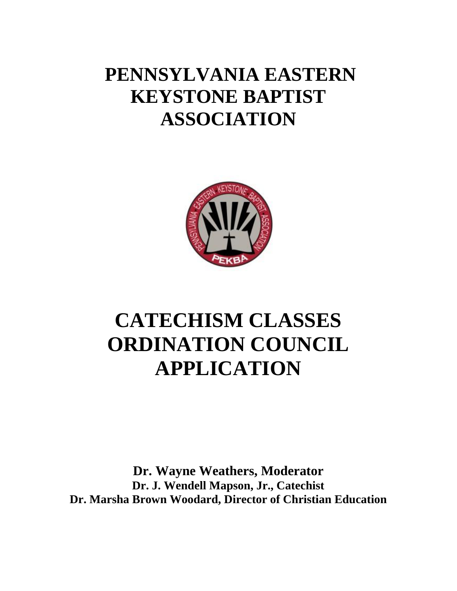## **PENNSYLVANIA EASTERN KEYSTONE BAPTIST ASSOCIATION**



# **CATECHISM CLASSES ORDINATION COUNCIL APPLICATION**

**Dr. Wayne Weathers, Moderator Dr. J. Wendell Mapson, Jr., Catechist Dr. Marsha Brown Woodard, Director of Christian Education**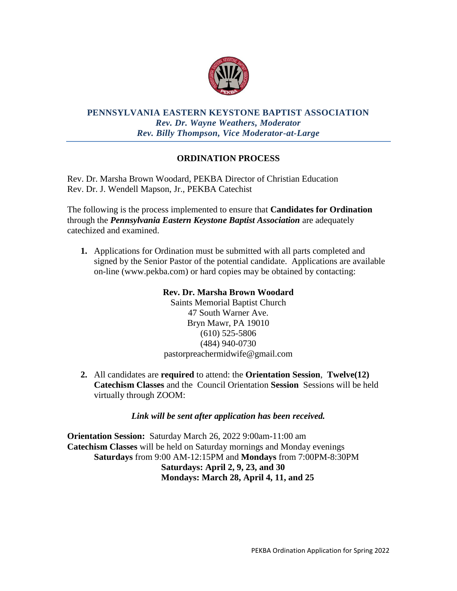

#### **PENNSYLVANIA EASTERN KEYSTONE BAPTIST ASSOCIATION** *Rev. Dr. Wayne Weathers, Moderator Rev. Billy Thompson, Vice Moderator-at-Large*

### **ORDINATION PROCESS**

Rev. Dr. Marsha Brown Woodard, PEKBA Director of Christian Education Rev. Dr. J. Wendell Mapson, Jr., PEKBA Catechist

The following is the process implemented to ensure that **Candidates for Ordination** through the *Pennsylvania Eastern Keystone Baptist Association* are adequately catechized and examined.

**1.** Applications for Ordination must be submitted with all parts completed and signed by the Senior Pastor of the potential candidate. Applications are available on-line (www.pekba.com) or hard copies may be obtained by contacting:

#### **Rev. Dr. Marsha Brown Woodard**

Saints Memorial Baptist Church 47 South Warner Ave. Bryn Mawr, PA 19010 (610) 525-5806 (484) 940-0730 pastorpreachermidwife@gmail.com

**2.** All candidates are **required** to attend: the **Orientation Session**, **Twelve(12) Catechism Classes** and the Council Orientation **Session** Sessions will be held virtually through ZOOM:

*Link will be sent after application has been received.* 

**Orientation Session:** Saturday March 26, 2022 9:00am-11:00 am **Catechism Classes** will be held on Saturday mornings and Monday evenings **Saturdays** from 9:00 AM-12:15PM and **Mondays** from 7:00PM-8:30PM  **Saturdays: April 2, 9, 23, and 30 Mondays: March 28, April 4, 11, and 25**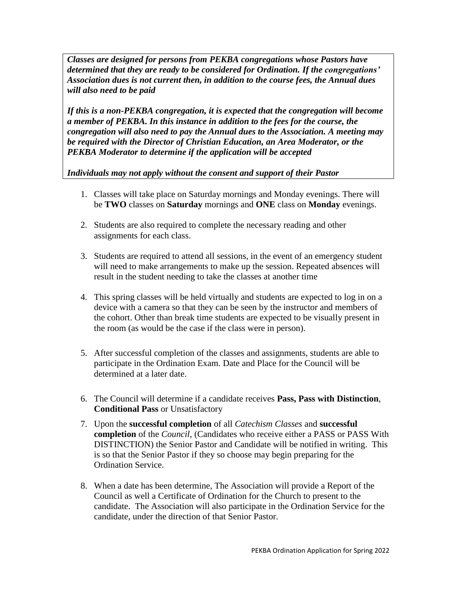*Classes are designed for persons from PEKBA congregations whose Pastors have determined that they are ready to be considered for Ordination. If the congregations' Association dues is not current then, in addition to the course fees, the Annual dues will also need to be paid*

*If this is a non-PEKBA congregation, it is expected that the congregation will become a member of PEKBA. In this instance in addition to the fees for the course, the congregation will also need to pay the Annual dues to the Association. A meeting may be required with the Director of Christian Education, an Area Moderator, or the PEKBA Moderator to determine if the application will be accepted*

*Individuals may not apply without the consent and support of their Pastor*

- 1. Classes will take place on Saturday mornings and Monday evenings. There will be **TWO** classes on **Saturday** mornings and **ONE** class on **Monday** evenings.
- 2. Students are also required to complete the necessary reading and other assignments for each class.
- 3. Students are required to attend all sessions, in the event of an emergency student will need to make arrangements to make up the session. Repeated absences will result in the student needing to take the classes at another time
- 4. This spring classes will be held virtually and students are expected to log in on a device with a camera so that they can be seen by the instructor and members of the cohort. Other than break time students are expected to be visually present in the room (as would be the case if the class were in person).
- 5. After successful completion of the classes and assignments, students are able to participate in the Ordination Exam. Date and Place for the Council will be determined at a later date.
- 6. The Council will determine if a candidate receives **Pass, Pass with Distinction**, **Conditional Pass** or Unsatisfactory
- 7. Upon the **successful completion** of all *Catechism Classes* and **successful completion** of the *Council*, (Candidates who receive either a PASS or PASS With DISTINCTION) the Senior Pastor and Candidate will be notified in writing. This is so that the Senior Pastor if they so choose may begin preparing for the Ordination Service.
- 8. When a date has been determine, The Association will provide a Report of the Council as well a Certificate of Ordination for the Church to present to the candidate. The Association will also participate in the Ordination Service for the candidate, under the direction of that Senior Pastor.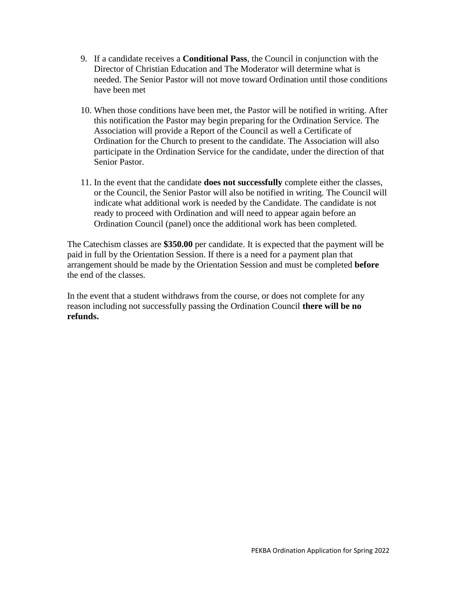- 9. If a candidate receives a **Conditional Pass**, the Council in conjunction with the Director of Christian Education and The Moderator will determine what is needed. The Senior Pastor will not move toward Ordination until those conditions have been met
- 10. When those conditions have been met, the Pastor will be notified in writing. After this notification the Pastor may begin preparing for the Ordination Service. The Association will provide a Report of the Council as well a Certificate of Ordination for the Church to present to the candidate. The Association will also participate in the Ordination Service for the candidate, under the direction of that Senior Pastor.
- 11. In the event that the candidate **does not successfully** complete either the classes, or the Council, the Senior Pastor will also be notified in writing. The Council will indicate what additional work is needed by the Candidate. The candidate is not ready to proceed with Ordination and will need to appear again before an Ordination Council (panel) once the additional work has been completed.

The Catechism classes are **\$350.00** per candidate. It is expected that the payment will be paid in full by the Orientation Session. If there is a need for a payment plan that arrangement should be made by the Orientation Session and must be completed **before**  the end of the classes.

In the event that a student withdraws from the course, or does not complete for any reason including not successfully passing the Ordination Council **there will be no refunds.**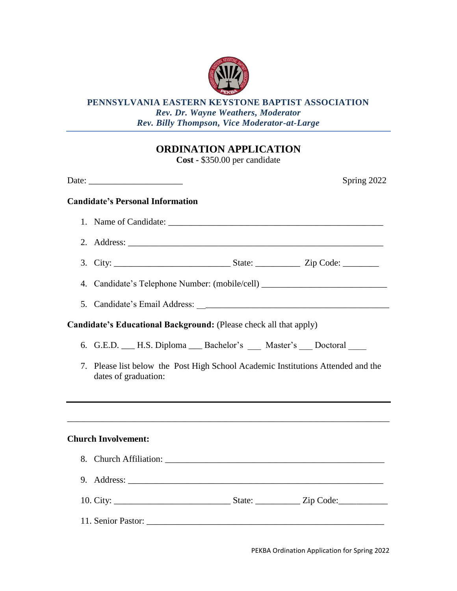

#### **PENNSYLVANIA EASTERN KEYSTONE BAPTIST ASSOCIATION** *Rev. Dr. Wayne Weathers, Moderator Rev. Billy Thompson, Vice Moderator-at-Large*

## **ORDINATION APPLICATION**

**Cost -** \$350.00 per candidate

|    | Spring 2022<br>Date: $\frac{1}{\sqrt{1-\frac{1}{2}}\sqrt{1-\frac{1}{2}}\sqrt{1-\frac{1}{2}}\sqrt{1-\frac{1}{2}}\sqrt{1-\frac{1}{2}}\sqrt{1-\frac{1}{2}}\sqrt{1-\frac{1}{2}}\sqrt{1-\frac{1}{2}}\sqrt{1-\frac{1}{2}}\sqrt{1-\frac{1}{2}}\sqrt{1-\frac{1}{2}}\sqrt{1-\frac{1}{2}}\sqrt{1-\frac{1}{2}}\sqrt{1-\frac{1}{2}}\sqrt{1-\frac{1}{2}}\sqrt{1-\frac{1}{2}}\sqrt{1-\frac{1}{2}}\sqrt{1-\frac{1}{2}}\sqrt{1-\frac{1}{2}}$ |  |  |  |  |  |  |
|----|------------------------------------------------------------------------------------------------------------------------------------------------------------------------------------------------------------------------------------------------------------------------------------------------------------------------------------------------------------------------------------------------------------------------------|--|--|--|--|--|--|
|    | <b>Candidate's Personal Information</b>                                                                                                                                                                                                                                                                                                                                                                                      |  |  |  |  |  |  |
|    |                                                                                                                                                                                                                                                                                                                                                                                                                              |  |  |  |  |  |  |
|    |                                                                                                                                                                                                                                                                                                                                                                                                                              |  |  |  |  |  |  |
|    |                                                                                                                                                                                                                                                                                                                                                                                                                              |  |  |  |  |  |  |
|    | 4. Candidate's Telephone Number: (mobile/cell)                                                                                                                                                                                                                                                                                                                                                                               |  |  |  |  |  |  |
|    |                                                                                                                                                                                                                                                                                                                                                                                                                              |  |  |  |  |  |  |
|    | Candidate's Educational Background: (Please check all that apply)                                                                                                                                                                                                                                                                                                                                                            |  |  |  |  |  |  |
|    | 6. G.E.D. __ H.S. Diploma __ Bachelor's __ Master's __ Doctoral                                                                                                                                                                                                                                                                                                                                                              |  |  |  |  |  |  |
| 7. | Please list below the Post High School Academic Institutions Attended and the<br>dates of graduation:                                                                                                                                                                                                                                                                                                                        |  |  |  |  |  |  |
|    | ,我们也不会有什么。""我们的人,我们也不会有什么?""我们的人,我们也不会有什么?""我们的人,我们也不会有什么?""我们的人,我们也不会有什么?""我们的人                                                                                                                                                                                                                                                                                                                                             |  |  |  |  |  |  |
|    | <b>Church Involvement:</b>                                                                                                                                                                                                                                                                                                                                                                                                   |  |  |  |  |  |  |
|    |                                                                                                                                                                                                                                                                                                                                                                                                                              |  |  |  |  |  |  |
|    |                                                                                                                                                                                                                                                                                                                                                                                                                              |  |  |  |  |  |  |
|    |                                                                                                                                                                                                                                                                                                                                                                                                                              |  |  |  |  |  |  |
|    |                                                                                                                                                                                                                                                                                                                                                                                                                              |  |  |  |  |  |  |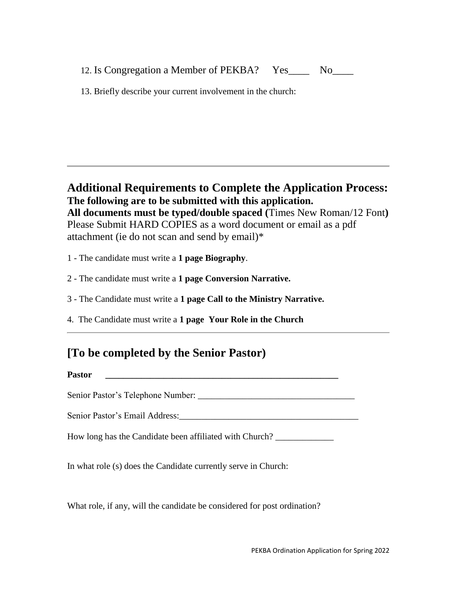|  | 12. Is Congregation a Member of PEKBA? | Yes | N <sub>0</sub> |  |
|--|----------------------------------------|-----|----------------|--|
|  |                                        |     |                |  |

13. Briefly describe your current involvement in the church:

**Additional Requirements to Complete the Application Process: The following are to be submitted with this application. All documents must be typed/double spaced (**Times New Roman/12 Font**)** Please Submit HARD COPIES as a word document or email as a pdf attachment (ie do not scan and send by email)\*

1 - The candidate must write a **1 page Biography**.

2 - The candidate must write a **1 page Conversion Narrative.**

3 - The Candidate must write a **1 page Call to the Ministry Narrative.**

4.The Candidate must write a **1 page Your Role in the Church**

## **[To be completed by the Senior Pastor)**

Senior Pastor's Telephone Number:

**Pastor \_\_\_\_\_\_\_\_\_\_\_\_\_\_\_\_\_\_\_\_\_\_\_\_\_\_\_\_\_\_\_\_\_\_\_\_\_\_\_\_\_\_\_\_\_\_\_\_\_\_\_\_**

Senior Pastor's Email Address:

How long has the Candidate been affiliated with Church? \_\_\_\_\_\_\_\_\_\_\_\_\_

In what role (s) does the Candidate currently serve in Church:

What role, if any, will the candidate be considered for post ordination?